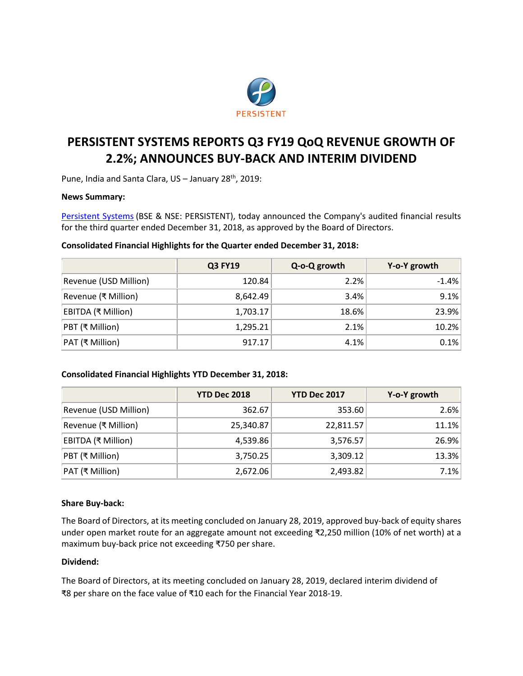

# **PERSISTENT SYSTEMS REPORTS Q3 FY19 QoQ REVENUE GROWTH OF 2.2%; ANNOUNCES BUY-BACK AND INTERIM DIVIDEND**

Pune, India and Santa Clara, US - January 28<sup>th</sup>, 2019:

# **News Summary:**

[Persistent Systems](http://www.persistent.com/) (BSE & NSE: PERSISTENT), today announced the Company's audited financial results for the third quarter ended December 31, 2018, as approved by the Board of Directors.

## **Consolidated Financial Highlights for the Quarter ended December 31, 2018:**

|                       | <b>Q3 FY19</b> | Q-o-Q growth | Y-o-Y growth |
|-----------------------|----------------|--------------|--------------|
| Revenue (USD Million) | 120.84         | 2.2%         | $-1.4%$      |
| Revenue (₹ Million)   | 8,642.49       | $3.4\%$      | 9.1%         |
| EBITDA (₹ Million)    | 1,703.17       | 18.6%        | 23.9%        |
| PBT (₹ Million)       | 1,295.21       | 2.1%         | 10.2%        |
| PAT (₹ Million)       | 917.17         | 4.1%         | 0.1%         |

# **Consolidated Financial Highlights YTD December 31, 2018:**

|                       | <b>YTD Dec 2018</b> | <b>YTD Dec 2017</b> | Y-o-Y growth |
|-----------------------|---------------------|---------------------|--------------|
| Revenue (USD Million) | 362.67              | 353.60              | 2.6%         |
| Revenue (₹ Million)   | 25,340.87           | 22,811.57           | 11.1%        |
| EBITDA (₹ Million)    | 4,539.86            | 3,576.57            | 26.9%        |
| PBT (₹ Million)       | 3,750.25            | 3,309.12            | 13.3%        |
| PAT (₹ Million)       | 2,672.06            | 2,493.82            | 7.1%         |

# **Share Buy-back:**

The Board of Directors, at its meeting concluded on January 28, 2019, approved buy-back of equity shares under open market route for an aggregate amount not exceeding ₹2,250 million (10% of net worth) at a maximum buy-back price not exceeding ₹750 per share.

### **Dividend:**

The Board of Directors, at its meeting concluded on January 28, 2019, declared interim dividend of ₹8 per share on the face value of ₹10 each for the Financial Year 2018-19.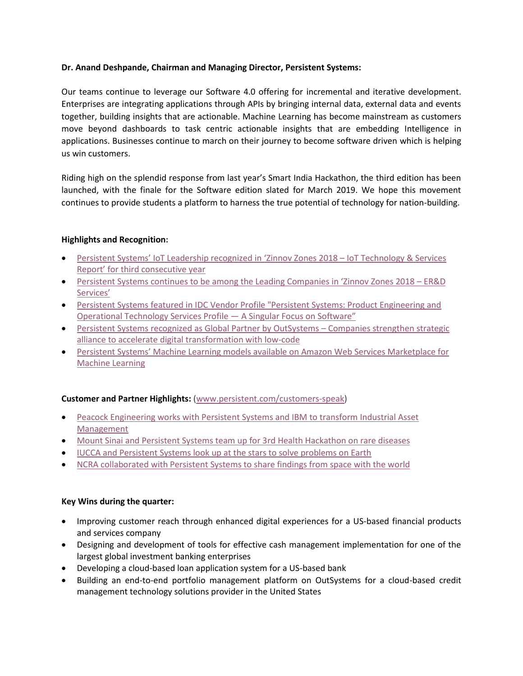# **Dr. Anand Deshpande, Chairman and Managing Director, Persistent Systems:**

Our teams continue to leverage our Software 4.0 offering for incremental and iterative development. Enterprises are integrating applications through APIs by bringing internal data, external data and events together, building insights that are actionable. Machine Learning has become mainstream as customers move beyond dashboards to task centric actionable insights that are embedding Intelligence in applications. Businesses continue to march on their journey to become software driven which is helping us win customers.

Riding high on the splendid response from last year's Smart India Hackathon, the third edition has been launched, with the finale for the Software edition slated for March 2019. We hope this movement continues to provide students a platform to harness the true potential of technology for nation-building.

# **Highlights and Recognition:**

- Persistent S[ystems' IoT Leadership recognized](https://www.persistent.com/media/press-releases/persistent-systems-iot-leadership-recognized-once-again-in-zinnov-zones-2018-iot-technology-services-report/) in 'Zinnov Zones 2018 IoT Technology & Services Report' for third [consecutive year](https://www.persistent.com/media/press-releases/persistent-systems-iot-leadership-recognized-once-again-in-zinnov-zones-2018-iot-technology-services-report/)
- [Persistent Systems continues to be among the Leading Companies in 'Zinnov Zones 2018 –](https://www.persistent.com/media/press-releases/persistent-systems-continues-to-be-among-the-leading-companies-in-zinnov-zones-2018-erd-services-report/) ER&D [Services'](https://www.persistent.com/media/press-releases/persistent-systems-continues-to-be-among-the-leading-companies-in-zinnov-zones-2018-erd-services-report/)
- [Persistent Systems featured in IDC Vendor Profile "Persistent Systems: Product Engineering and](https://www.persistent.com/product-engineering-and-operational-technology-services-profile-by-idc/)  [Operational Technology Services Profile](https://www.persistent.com/product-engineering-and-operational-technology-services-profile-by-idc/) — A Singular Focus on Software"
- [Persistent Systems recognized as Global Partner by OutSystems](https://www.persistent.com/media/press-releases/persistent-systems-recognized-as-global-partner-by-outsystems/)  Companies strengthen strategic [alliance to accelerate digital transformation with low-code](https://www.persistent.com/media/press-releases/persistent-systems-recognized-as-global-partner-by-outsystems/)
- Persistent Systems' [Machine Learning models available on Amazon Web Services Marketplace for](https://www.persistent.com/media/press-releases/persistent-systems-machine-learning-models-now-available-on-amazon-web-services-marketplace-for-machine-learning/)  [Machine Learning](https://www.persistent.com/media/press-releases/persistent-systems-machine-learning-models-now-available-on-amazon-web-services-marketplace-for-machine-learning/)

# **Customer and Partner Highlights:** [\(www.persistent.com/customers-speak\)](http://www.persistent.com/customers-speak)

- [Peacock Engineering works with Persistent Systems and IBM to transform Industrial Asset](https://www.persistent.com/peacock-engineering-transforms-industrial-asset-management-with-persistent-and-ibm/)  [Management](https://www.persistent.com/peacock-engineering-transforms-industrial-asset-management-with-persistent-and-ibm/)
- [Mount Sinai and Persistent Systems team up for 3rd](https://www.persistent.com/customer-video-persistent-systems-teams-with-mount-sinai-for-third-health-hackathon/) Health Hackathon on rare diseases
- [IUCCA and Persistent Systems look up at the stars to solve problems on Earth](https://www.persistent.com/customer-video-persistent-and-iucaa-look-up-at-the-stars-to-solve-problems-on-earth/)
- [NCRA collaborated with Persistent Systems to share findings from space](https://www.persistent.com/customer-video-persistent-helps-ncra-share-findings-from-space-with-the-world/) with the world

# **Key Wins during the quarter:**

- Improving customer reach through enhanced digital experiences for a US-based financial products and services company
- Designing and development of tools for effective cash management implementation for one of the largest global investment banking enterprises
- Developing a cloud-based loan application system for a US-based bank
- Building an end-to-end portfolio management platform on OutSystems for a cloud-based credit management technology solutions provider in the United States